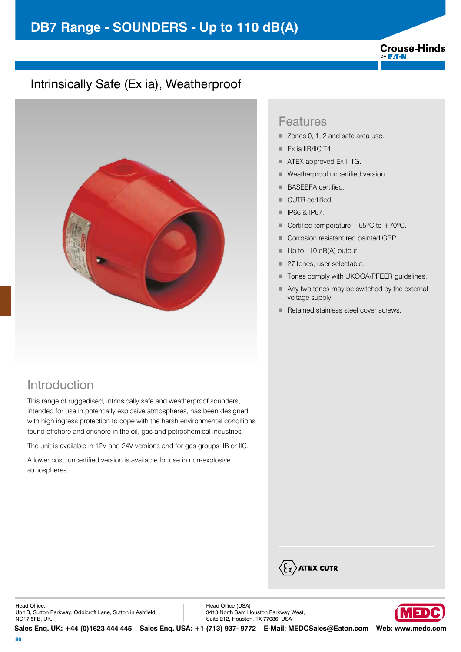# **DB7 Range - SOUNDERS - Up to 110 dB(A)**

#### **Crouse-Hinds** by **F:T.N**

### Intrinsically Safe (Ex ia), Weatherproof



#### Introduction

This range of ruggedised, intrinsically safe and weatherproof sounders, intended for use in potentially explosive atmospheres, has been designed with high ingress protection to cope with the harsh environmental conditions found offshore and onshore in the oil, gas and petrochemical industries.

The unit is available in 12V and 24V versions and for gas groups IIB or IIC.

A lower cost, uncertified version is available for use in non-explosive atmospheres.

#### Features

- Zones 0, 1, 2 and safe area use.
- $\blacksquare$  Ex ia IIB/IIC T4.
- ATEX approved Ex II 1G.
- Weatherproof uncertified version.
- **BASEEFA certified.**
- CUTR certified.
- **F** IP66 & IP67.
- Certified temperature:  $-55^{\circ}$ C to  $+70^{\circ}$ C.
- Corrosion resistant red painted GRP.
- $\blacksquare$  Up to 110 dB(A) output.
- 27 tones, user selectable.
- Tones comply with UKOOA/PFEER quidelines.
- Any two tones may be switched by the external voltage supply.
- Retained stainless steel cover screws.



Head Office. Unit B, Sutton Parkway, Oddicroft Lane, Sutton in Ashfield NG17 5FB, UK.

Head Office (USA) 3413 North Sam Houston Parkway West, Suite 212, Houston, TX 77086, USA



**Sales Enq. UK: +44 (0)1623 444 445 Sales Enq. USA: +1 (713) 937- 9772 E-Mail: MEDCSales@Eaton.com Web: www.medc.com**